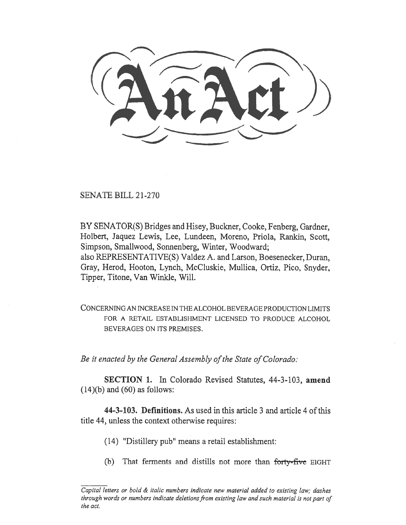SENATE BILL 21-270

BY SENATOR(S) Bridges and Hisey, Buckner, Cooke, Fenberg, Gardner, Holbert, Jaquez Lewis, Lee, Lundeen, Moreno, Priola, Rankin, Scott, Simpson, Smallwood, Sonnenberg, Winter, Woodward; also REPRESENTATIVE(S) Valdez A. and Larson, Boesenecker, Duran, Gray, Herod, Hooton, Lynch, McCluskie, Mullica, Ortiz, Pico, Snyder, Tipper, Titone, Van Winkle, Will.

CONCERNING AN INCREASE IN THE ALCOHOL BEVERAGE PRODUCTION LIMITS FOR A RETAIL ESTABLISHMENT LICENSED TO PRODUCE ALCOHOL BEVERAGES ON ITS PREMISES.

Be it enacted by the General Assembly of the State of Colorado:

SECTION 1. In Colorado Revised Statutes, 44-3-103, amend  $(14)(b)$  and  $(60)$  as follows:

44-3-103. Definitions. As used in this article 3 and article 4 of this title 44, unless the context otherwise requires:

- (14) "Distillery pub" means a retail establishment:
- (b) That ferments and distills not more than forty-five EIGHT

Capital letters or bold  $\&$  italic numbers indicate new material added to existing law; dashes through words or numbers indicate deletions from existing law and such material is not part of the act.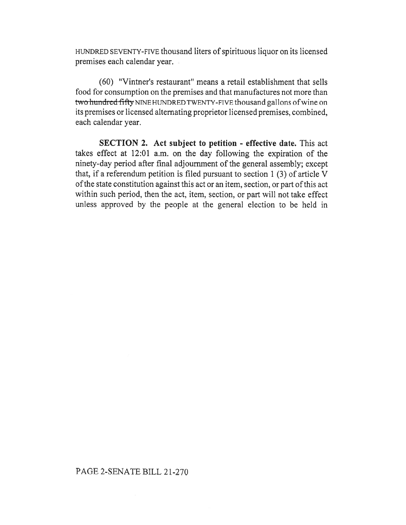HUNDRED SEVENTY-FIVE thousand liters of spirituous liquor on its licensed premises each calendar year.

(60) "Vintner's restaurant" means a retail establishment that sells food for consumption on the premises and that manufactures not more than two hundred fifty NINE HUNDRED TWENTY-FIVE thousand gallons of wine on its premises or licensed alternating proprietor licensed premises, combined, each calendar year.

SECTION 2. Act subject to petition - effective date. This act takes effect at 12:01 a.m. on the day following the expiration of the ninety-day period after final adjournment of the general assembly; except that, if a referendum petition is filed pursuant to section 1 (3) of article V of the state constitution against this act or an item, section, or part of this act within such period, then the act, item, section, or part will not take effect unless approved by the people at the general election to be held in

## PAGE 2-SENATE BILL 21-270